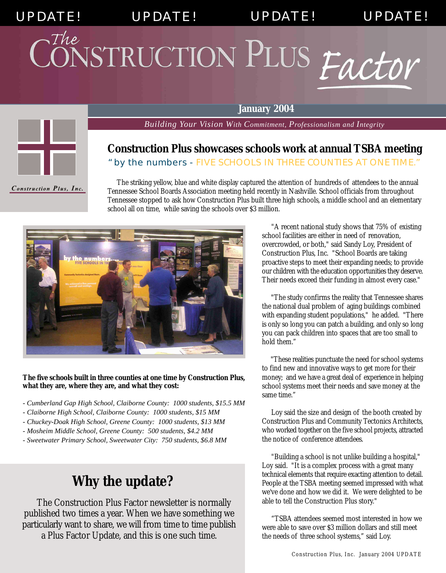

*UPDATE! UPDATE! UPDATE! UPDATE!*

**January 2004**

*Building Your Vision With Commitment, Professionalism and Integrity*

## **Construction Plus showcases schools work at annual TSBA meeting** "by the numbers - FIVE SCHOOLS IN THREE COUNTIES AT ONE TIME."

**Construction Plus, Inc.** 

 The striking yellow, blue and white display captured the attention of hundreds of attendees to the annual Tennessee School Boards Association meeting held recently in Nashville. School officials from throughout Tennessee stopped to ask how Construction Plus built three high schools, a middle school and an elementary school all on time, while saving the schools over \$3 million.



**The five schools built in three counties at one time by Construction Plus, what they are, where they are, and what they cost:**

- *Cumberland Gap High School, Claiborne County: 1000 students, \$15.5 MM*
- *Claiborne High School, Claiborne County: 1000 students, \$15 MM*
- *Chuckey-Doak High School, Greene County: 1000 students, \$13 MM*
- *Mosheim Middle School, Greene County: 500 students, \$4.2 MM*
- *Sweetwater Primary School, Sweetwater City: 750 students, \$6.8 MM*

## **Why the update?**

 The Construction Plus Factor newsletter is normally published two times a year. When we have something we particularly want to share, we will from time to time publish a Plus Factor Update, and this is one such time.

 "A recent national study shows that 75% of existing school facilities are either in need of renovation, overcrowded, or both," said Sandy Loy, President of Construction Plus, Inc. "School Boards are taking proactive steps to meet their expanding needs; to provide our children with the education opportunities they deserve. Their needs exceed their funding in almost every case."

 "The study confirms the reality that Tennessee shares the national dual problem of aging buildings combined with expanding student populations," he added. "There is only so long you can patch a building, and only so long you can pack children into spaces that are too small to hold them."

 "These realities punctuate the need for school systems to find new and innovative ways to get more for their money; and we have a great deal of experience in helping school systems meet their needs and save money at the same time."

 Loy said the size and design of the booth created by Construction Plus and Community Tectonics Architects, who worked together on the five school projects, attracted the notice of conference attendees.

 "Building a school is not unlike building a hospital," Loy said. "It is a complex process with a great many technical elements that require exacting attention to detail. People at the TSBA meeting seemed impressed with what we've done and how we did it. We were delighted to be able to tell the Construction Plus story."

 "TSBA attendees seemed most interested in how we were able to save over \$3 million dollars and still meet the needs of three school systems," said Loy.